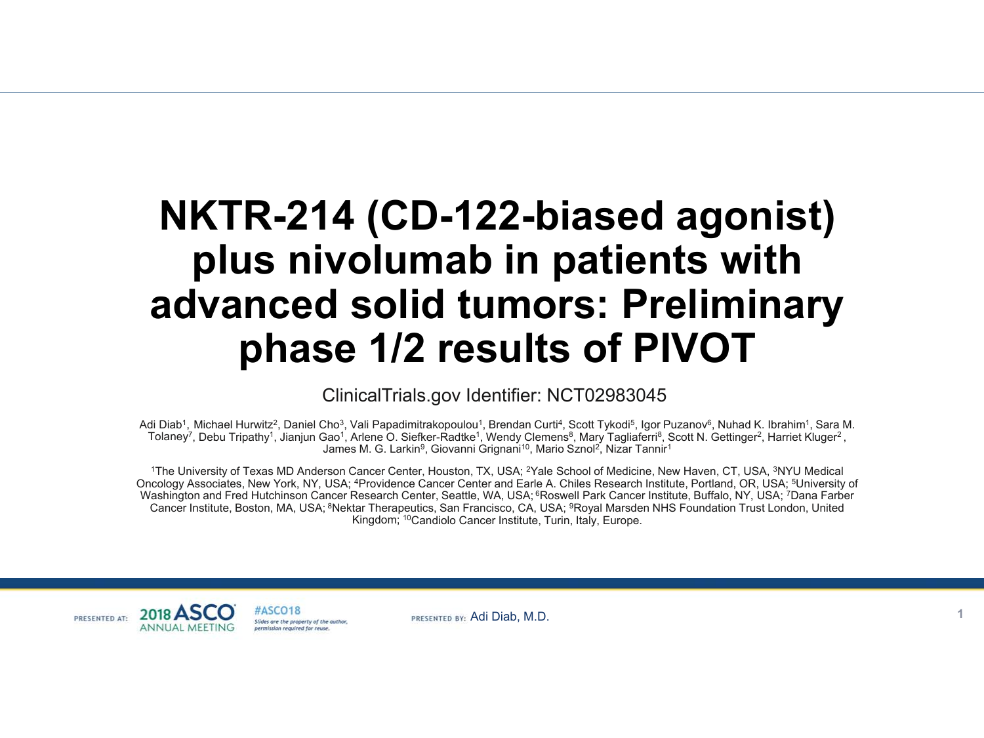# **NKTR-214 (CD-122-biased agonist) plus nivolumab in patients with advanced solid tumors: Preliminary phase 1/2 results of PIVOT**

ClinicalTrials.gov Identifier: NCT02983045

Adi Diab<sup>1</sup>, Michael Hurwitz<sup>2</sup>, Daniel Cho<sup>3</sup>, Vali Papadimitrakopoulou<sup>1</sup>, Brendan Curti<sup>4</sup>, Scott Tykodi<sup>5</sup>, Igor Puzanov<sup>6</sup>, Nuhad K. Ibrahim<sup>1</sup>, Sara M. Tolaney<sup>7</sup>, Debu Tripathy<sup>1</sup>, Jianjun Gao<sup>1</sup>, Arlene O. Siefker-Radtke<sup>1</sup>, Wendy Clemens<sup>8</sup>, Mary Tagliaferri<sup>8</sup>, Scott N. Gettinger<sup>2</sup>, Harriet Kluger<sup>2</sup>, James M. G. Larkin<sup>9</sup>, Giovanni Grignani<sup>10</sup>, Mario Sznol<sup>2</sup>, Nizar Tannir<sup>1</sup>

1The University of Texas MD Anderson Cancer Center, Houston, TX, USA; <sup>2</sup>Yale School of Medicine, New Haven, CT, USA, <sup>3</sup>NYU Medical Oncology Associates, New York, NY, USA; 4Providence Cancer Center and Earle A. Chiles Research Institute, Portland, OR, USA; 5University of Washington and Fred Hutchinson Cancer Research Center, Seattle, WA, USA; <sup>6</sup>Roswell Park Cancer Institute, Buffalo, NY, USA; <sup>7</sup>Dana Farber Cancer Institute, Boston, MA, USA; 8Nektar Therapeutics, San Francisco, CA, USA; 9Royal Marsden NHS Foundation Trust London, United Kingdom; 10Candiolo Cancer Institute, Turin, Italy, Europe.

#ASCO18 PRESENTED AT: Stides are the property of the outbor permission required for reuse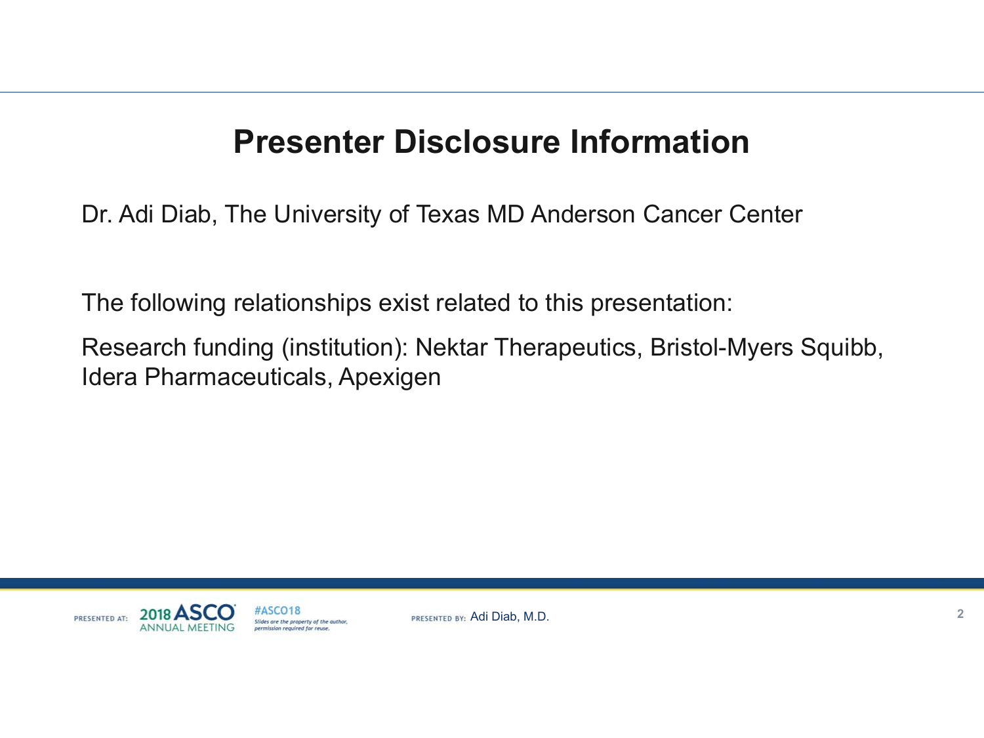# **Presenter Disclosure Information**

Dr. Adi Diab, The University of Texas MD Anderson Cancer Center

The following relationships exist related to this presentation:

Research funding (institution): Nektar Therapeutics, Bristol-Myers Squibb, Idera Pharmaceuticals, Apexigen



#ASCO18 Slides are the property of the author. permission required for reuse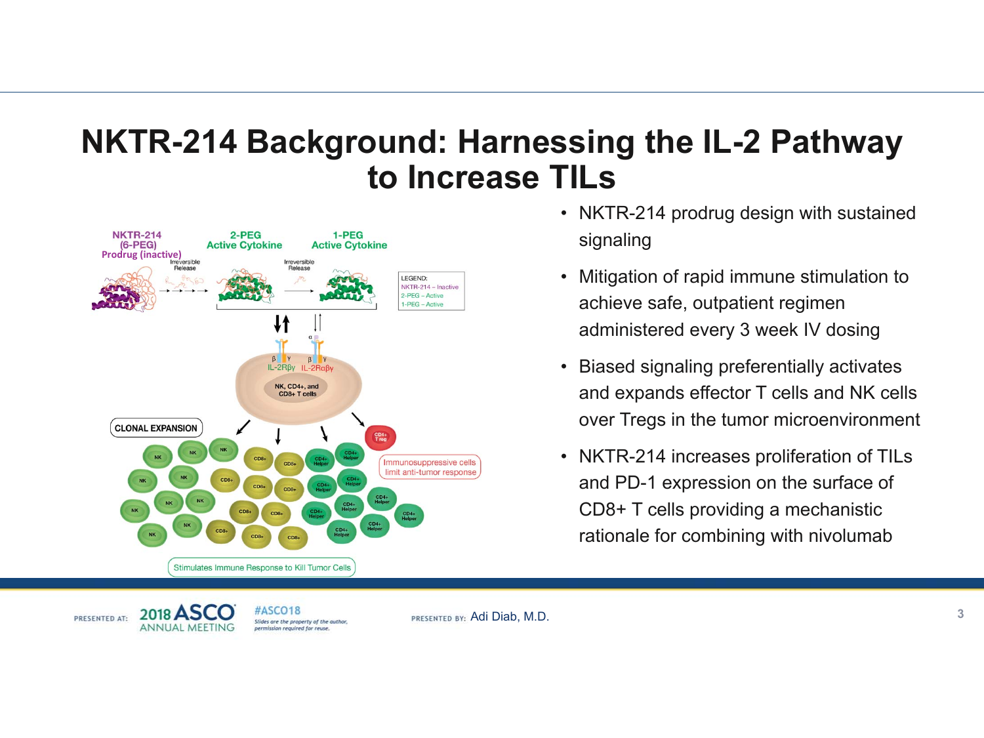# **NKTR-214 Background: Harnessing the IL-2 Pathway to Increase TILs**



- NKTR-214 prodrug design with sustained signaling
- $\bullet$  Mitigation of rapid immune stimulation to achieve safe, outpatient regimen administered every 3 week IV dosing
- $\bullet$  Biased signaling preferentially activates and expands effector T cells and NK cells over Tregs in the tumor microenvironment
- NKTR-214 increases proliferation of TILs and PD-1 expression on the surface of CD8+ T cells providing a mechanistic rationale for combining with nivolumab

2018 AS PRESENTED AT: **ANNUAL MEETING** 

#ASCO18 Slides are the property of the author. permission required for reuse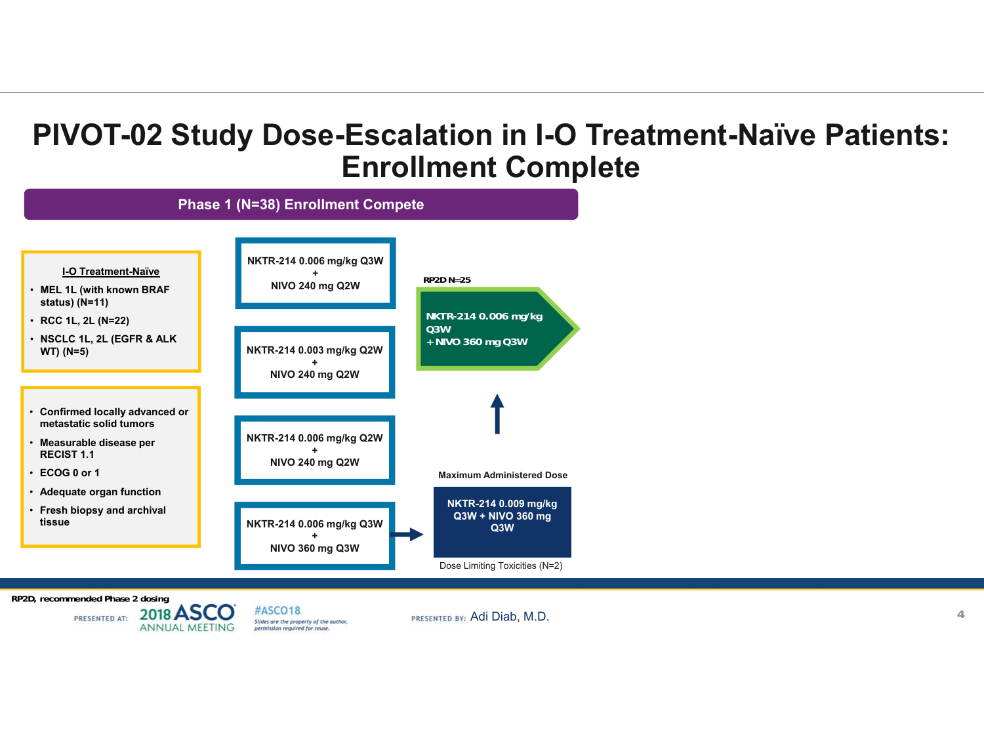## **PIVOT-02 Study Dose-Escalation in I-O Treatment-Naïve Patients: Enrollment Complete**



**RP2D, recommended Phase 2 dosing<br><b>RP2D, recommended Phase 2 dosing** 

PRESENTED AT: **ANNUAL MEETING** 

#ASCO18 Slides are the property of the author, permission required for reuse.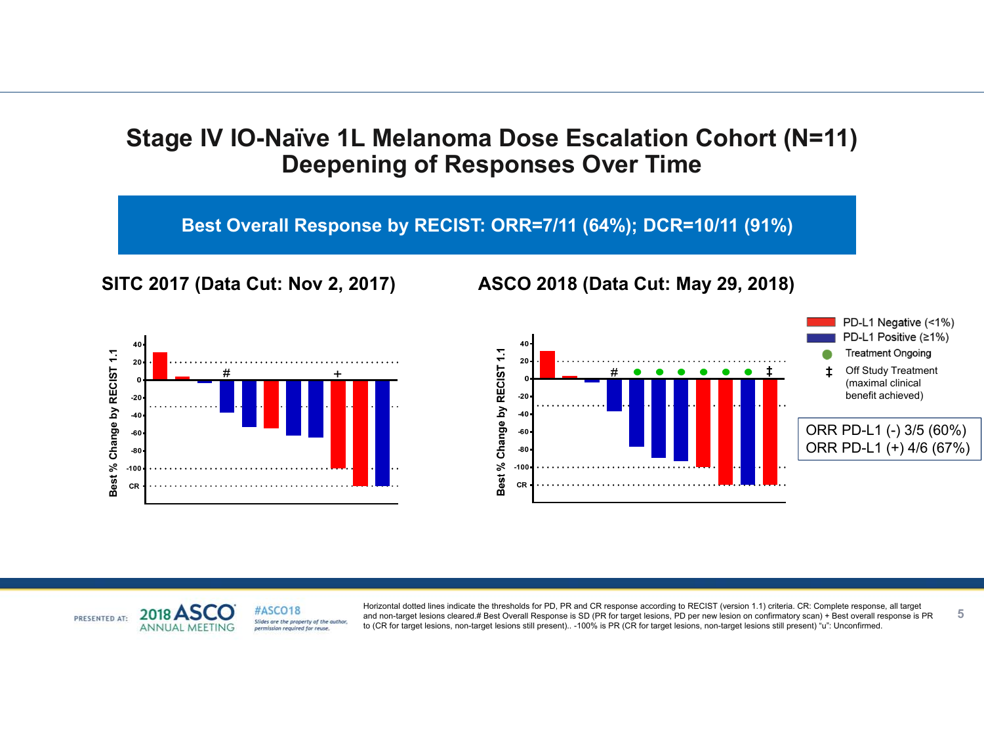### **Stage IV IO-Naïve 1L Melanoma Dose Escalation Cohort (N=11) Deepening of Responses Over Time**

**Best Overall Response by RECIST: ORR=7/11 (64%); DCR=10/11 (91%)**









**5**

#ASCO18 2018 PRESENTED AT: Slides are the property of the author. **ANNUAL MEETI** permission required for reuse

and non-target lesions cleared.# Best Overall Response is SD (PR for target lesions, PD per new lesion on confirmatory scan) + Best overall response is PR Horizontal dotted lines indicate the thresholds for PD, PR and CR response according to RECIST (version 1.1) criteria. CR: Complete response, all target to (CR for target lesions, non-target lesions still present).. -100% is PR (CR for target lesions, non-target lesions still present) "u": Unconfirmed.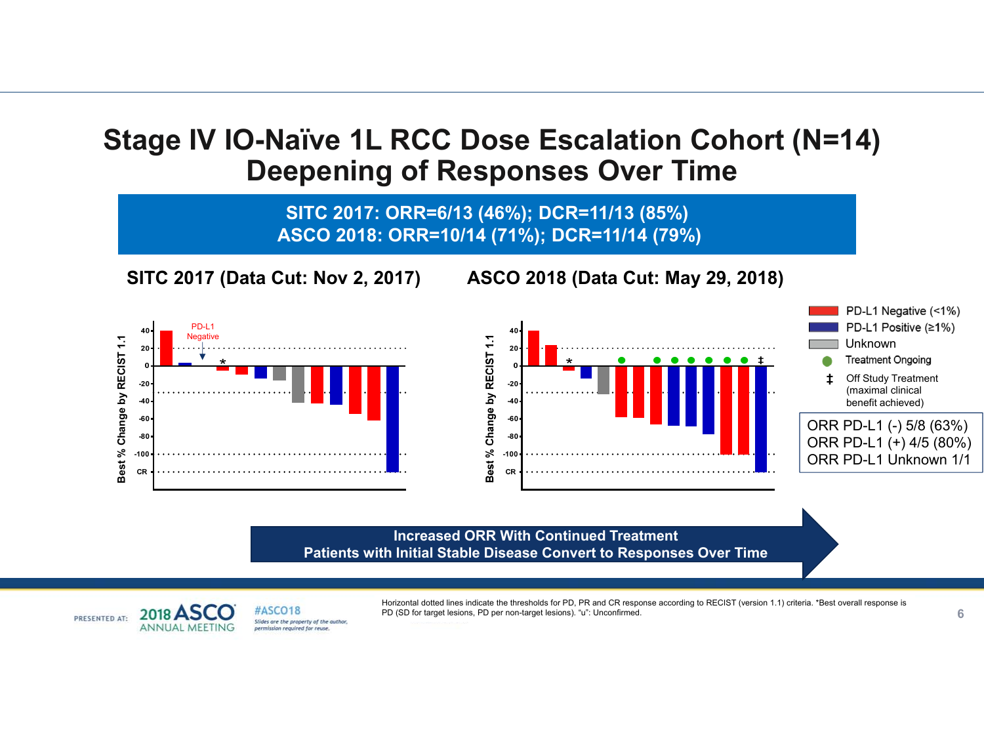### **Stage IV IO-Naïve 1L RCC Dose Escalation Cohort (N=14) Deepening of Responses Over Time**

**SITC 2017: ORR=6/13 (46%); DCR=11/13 (85%) SITC 2017: ORR=6/13 (46%); DCR=11/13 (85%) ASCO 2018: ORR=10/14 (71%); DCR=11/14 (79%)**

**SITC 2017 (Data Cut: Nov 2, 2017) ASCO 2018 (Data Cut: May 29, 2018)**







#### **Increased ORR With Continued Treatment Patients with Initial Stable Disease Convert to Responses Over Time**



Horizontal dotted lines indicate the thresholds for PD, PR and CR response according to RECIST (version 1.1) criteria. \*Best overall response is PD (SD for target lesions, PD per non-target lesions). "u": Unconfirmed.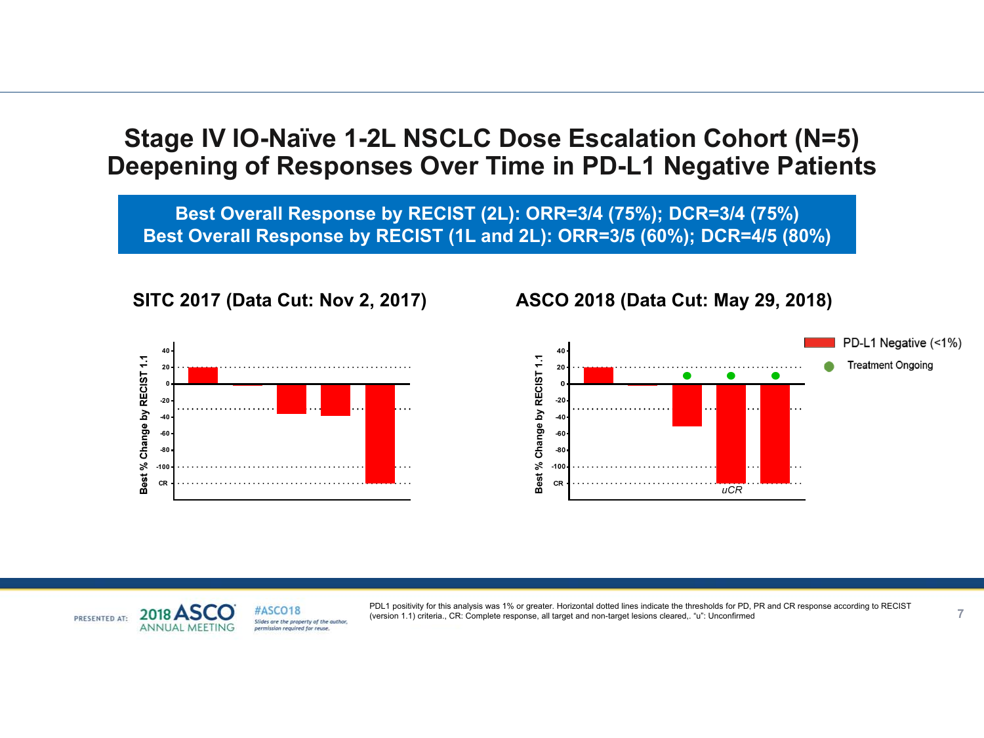### **Stage IV IO-Naïve 1-2L NSCLC Dose Escalation Cohort (N=5) Deepening of Responses Over Time in PD-L1 Negative Patients**

**Best Overall Response by RECIST (2L): ORR=3/4 (75%); DCR=3/4 (75%) Best Overall Response by RECIST (1L and 2L): ORR=3/5 (60%); DCR=4/5 (80%)**

**40** Best % Change by RECIST 1.1 **200-20 -40-60-80 -100 CR**

#### **SITC 2017 (Data Cut: Nov 2, 2017) ASCO 2018 (Data Cut: May 29, 2018)**





(version 1.1) criteria., CR: Complete response, all target and non-target lesions cleared,. "u": Unconfirmed PDL1 positivity for this analysis was 1% or greater. Horizontal dotted lines indicate the thresholds for PD, PR and CR response according to RECIST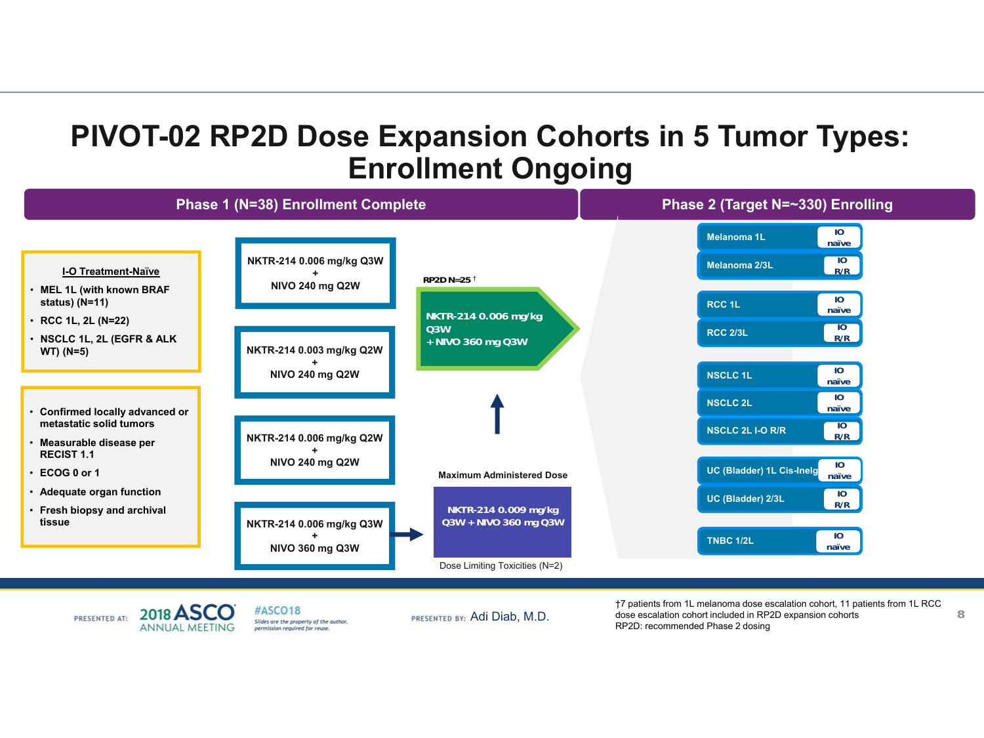# **PIVOT-02 RP2D Dose Expansion Cohorts in 5 Tumor Types: Enrollment Ongoing**



2018 ASCO PRESENTED AT: **ANNUAL MEETING** 

#ASCO18 Slides are the property of the author. permission required for reuse.

PRESENTED BY: Adi Diab, M.D.

†7 patients from 1L melanoma dose escalation cohort, 11 patients from 1L RCC dose escalation cohort included in RP2D expansion cohorts RP2D: recommended Phase 2 dosing

**8**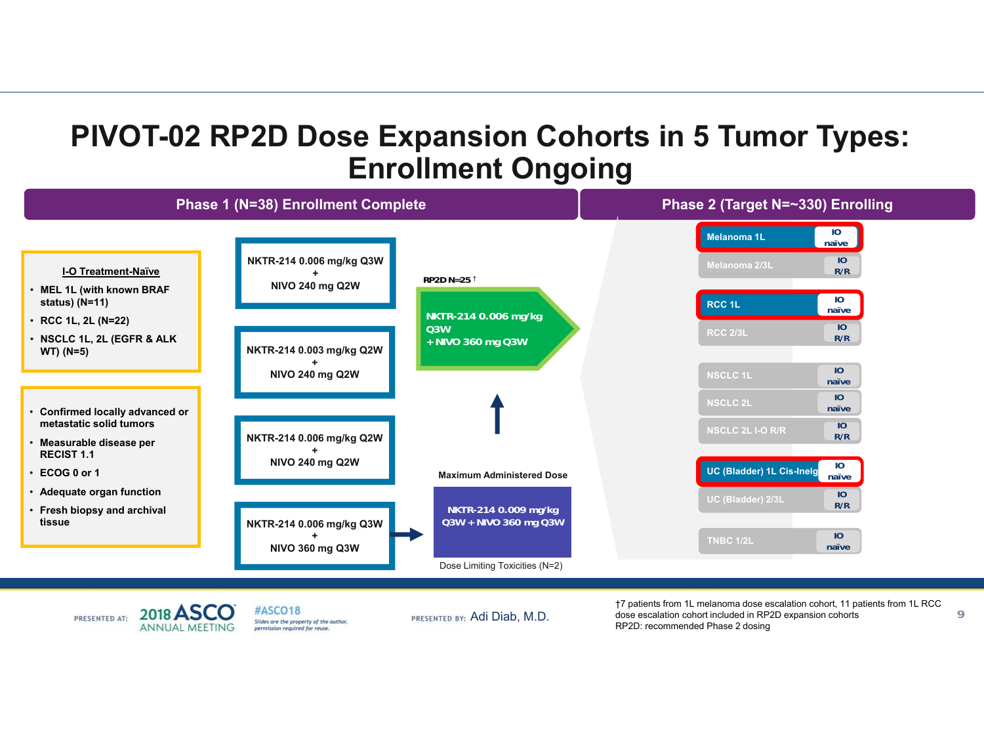# **PIVOT-02 RP2D Dose Expansion Cohorts in 5 Tumor Types: Enrollment Ongoing**



2018 ASCO PRESENTED AT: **ANNUAL MEETING**  #ASCO18 Slides are the property of the author. permission required for reuse.

†7 patients from 1L melanoma dose escalation cohort, 11 patients from 1L RCC dose escalation cohort included in RP2D expansion cohorts PRESENTED BY: Adi Diab, M.D. dose escalation cohort included in RP2<br>RP2D: recommended Phase 2 dosing

**9**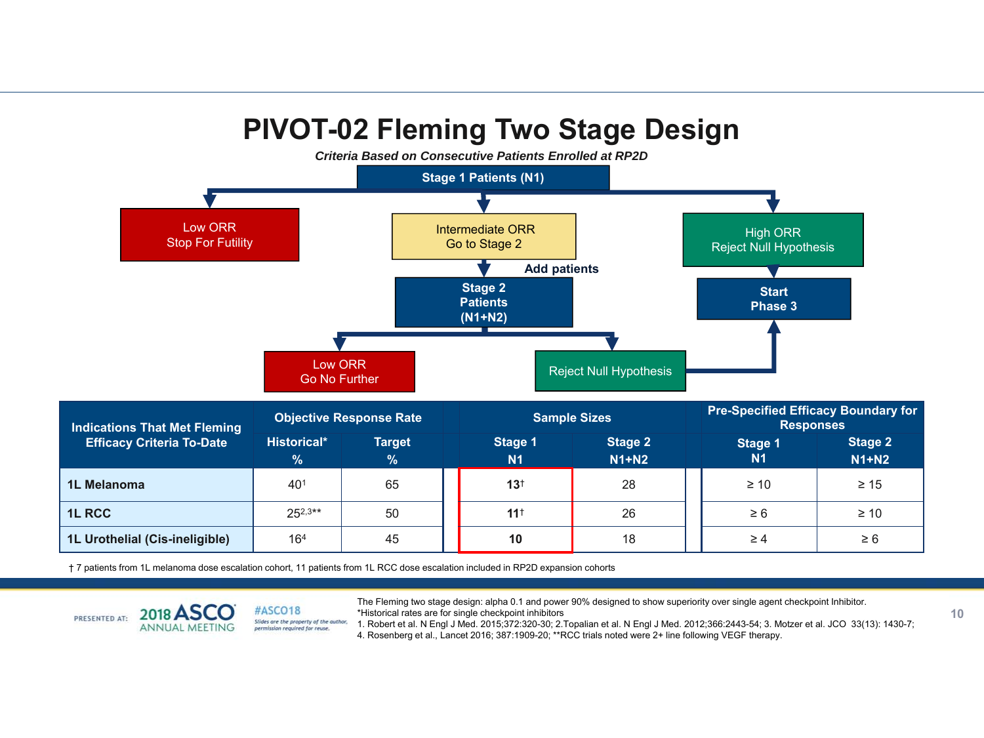# **PIVOT-02 Fleming Two Stage Design**



**1L Urothelial (Cis-ineligible)** 16<sup>4</sup> 45 **10** 10 18 18 → 24 ≥ 6

† 7 patients from 1L melanoma dose escalation cohort, 11 patients from 1L RCC dose escalation included in RP2D expansion cohorts

The Fleming two stage design: alpha 0.1 and power 90% designed to show superiority over single agent checkpoint Inhibitor. \*Historical rates are for single checkpoint inhibitors



#ASCO18 Slides are the property of the author,<br>permission required for reuse.

<sup>\*</sup>Historical rates are for single checkpoint inhibitors<br>1. Robert et al. N Engl J Med. 2015;372:320-30; 2.Topalian et al. N Engl J Med. 2012;366:2443-54; 3. Motzer et al. JCO 33(13): 1430-7;

4. Rosenberg et al., Lancet 2016; 387:1909-20; \*\*RCC trials noted were 2+ line following VEGF therapy.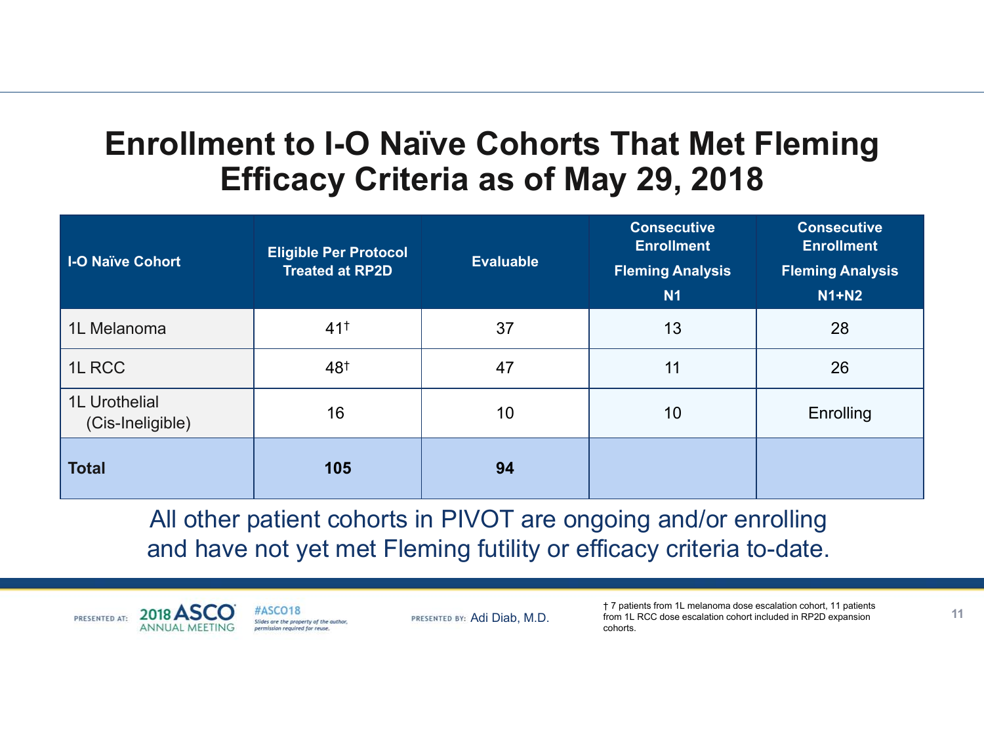# **Enrollment to I-O Naïve Cohorts That Met Fleming Efficacy Criteria as of May 29, 2018**

| <b>I-O Naïve Cohort</b>           | <b>Eligible Per Protocol</b><br><b>Treated at RP2D</b> | <b>Evaluable</b> | <b>Consecutive</b><br><b>Enrollment</b><br><b>Fleming Analysis</b><br><b>N1</b> | <b>Consecutive</b><br><b>Enrollment</b><br><b>Fleming Analysis</b><br>$N1+N2$ |
|-----------------------------------|--------------------------------------------------------|------------------|---------------------------------------------------------------------------------|-------------------------------------------------------------------------------|
| 1L Melanoma                       | $41^+$                                                 | 37               | 13                                                                              | 28                                                                            |
| 1L RCC                            | 48†                                                    | 47               | 11                                                                              | 26                                                                            |
| 1L Urothelial<br>(Cis-Ineligible) | 16                                                     | 10               | 10                                                                              | <b>Enrolling</b>                                                              |
| <b>Total</b>                      | 105                                                    | 94               |                                                                                 |                                                                               |

All other patient cohorts in PIVOT are ongoing and/or enrolling and have not yet met Fleming futility or efficacy criteria to-date.

2018 A PRESENTED AT: **ANNUAL MEETII**  #ASCO18 Slides are the property of the author. permission required for reuse.

PRESENTED BY: Adi Diab, M.D.

† 7 patients from 1L melanoma dose escalation cohort, 11 patients from 1L RCC dose escalation cohort included in RP2D expansion cohorts.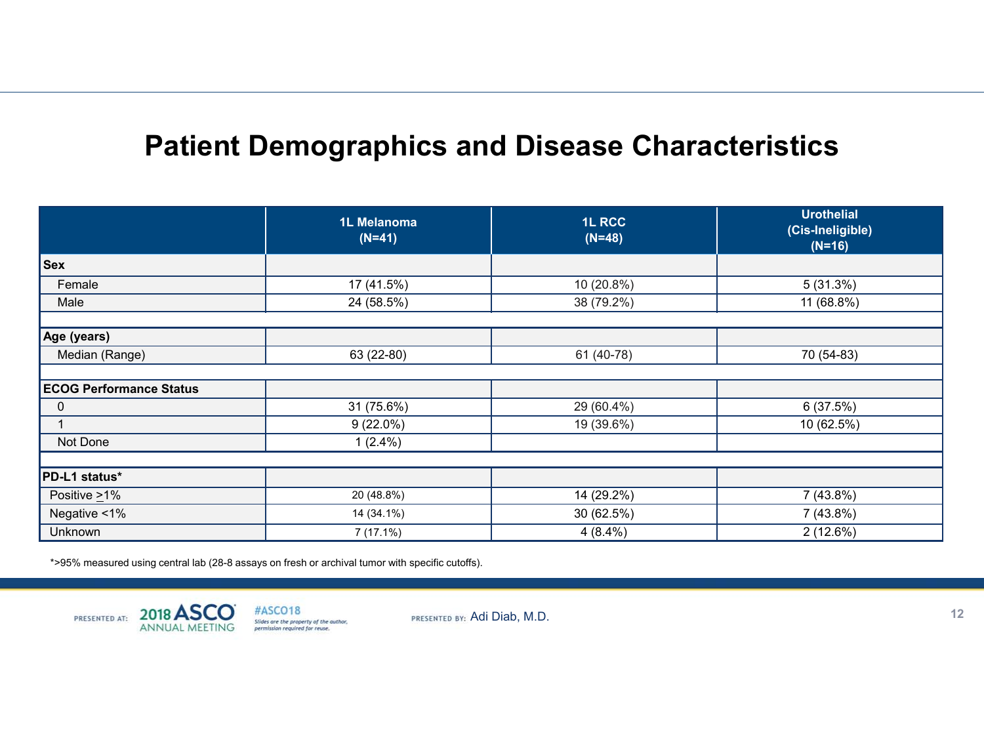# **Patient Demographics and Disease Characteristics**

|                                | 1L Melanoma<br>$(N=41)$ | 1L RCC<br>$(N=48)$ | <b>Urothelial</b><br>(Cis-Ineligible)<br>$(N=16)$ |
|--------------------------------|-------------------------|--------------------|---------------------------------------------------|
| <b>Sex</b>                     |                         |                    |                                                   |
| Female                         | 17 (41.5%)              | 10 (20.8%)         | 5(31.3%)                                          |
| Male                           | 24 (58.5%)              | 38 (79.2%)         | 11 (68.8%)                                        |
|                                |                         |                    |                                                   |
| Age (years)                    |                         |                    |                                                   |
| Median (Range)                 | 63 (22-80)              | 61 (40-78)         | 70 (54-83)                                        |
|                                |                         |                    |                                                   |
| <b>ECOG Performance Status</b> |                         |                    |                                                   |
| 0                              | 31 (75.6%)              | 29 (60.4%)         | 6(37.5%)                                          |
|                                | $9(22.0\%)$             | 19 (39.6%)         | 10 (62.5%)                                        |
| Not Done                       | $1(2.4\%)$              |                    |                                                   |
|                                |                         |                    |                                                   |
| PD-L1 status*                  |                         |                    |                                                   |
| Positive $\geq$ 1%             | 20 (48.8%)              | 14 (29.2%)         | 7 (43.8%)                                         |
| Negative <1%                   | 14 (34.1%)              | 30 (62.5%)         | 7 (43.8%)                                         |
| Unknown                        | 7 (17.1%)               | $4(8.4\%)$         | 2(12.6%)                                          |

\*>95% measured using central lab (28-8 assays on fresh or archival tumor with specific cutoffs).

2018 A PRESENTED AT: **ANNUAL MEETING** 

#ASCO18 Slides are the property of the author,<br>permission required for reuse.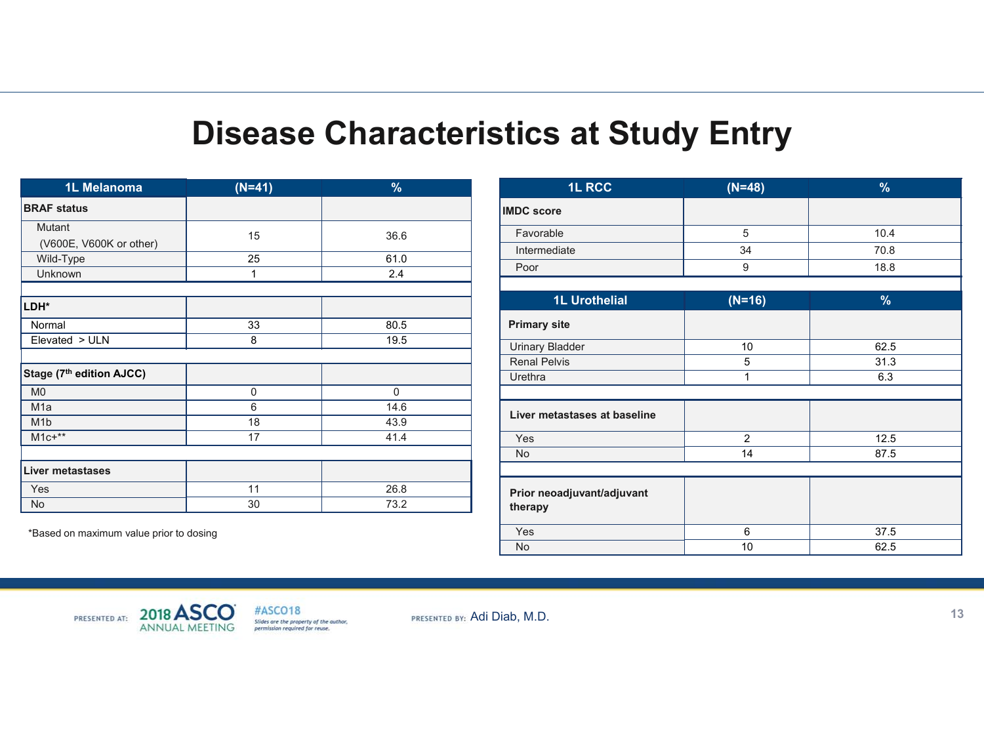# **Disease Characteristics at Study Entry**

| 1L Melanoma              | $(N=41)$ | $\%$ |
|--------------------------|----------|------|
| <b>BRAF status</b>       |          |      |
| Mutant                   | 15       | 36.6 |
| (V600E, V600K or other)  |          |      |
| Wild-Type                | 25       | 61.0 |
| Unknown                  | 1        | 2.4  |
|                          |          |      |
| LDH*                     |          |      |
| Normal                   | 33       | 80.5 |
| Elevated > ULN           | 8        | 19.5 |
|                          |          |      |
| Stage (7th edition AJCC) |          |      |
| M <sub>0</sub>           | 0        | 0    |
| M <sub>1</sub> a         | 6        | 14.6 |
| M <sub>1</sub> b         | 18       | 43.9 |
| $M1c+**$                 | 17       | 41.4 |
|                          |          |      |
| Liver metastases         |          |      |
| Yes                      | 11       | 26.8 |
| No                       | 30       | 73.2 |

\*Based on maximum value prior to dosing

| <b>1L RCC</b>                         | $(N=48)$       | $\%$ |
|---------------------------------------|----------------|------|
| <b>IMDC</b> score                     |                |      |
| Favorable                             | 5              | 10.4 |
| Intermediate                          | 34             | 70.8 |
| Poor                                  | 9              | 18.8 |
|                                       |                |      |
| <b>1L Urothelial</b>                  | $(N=16)$       | %    |
| <b>Primary site</b>                   |                |      |
| <b>Urinary Bladder</b>                | 10             | 62.5 |
| <b>Renal Pelvis</b>                   | 5              | 31.3 |
| Urethra                               | 1              | 6.3  |
|                                       |                |      |
| Liver metastases at baseline          |                |      |
| Yes                                   | $\overline{2}$ | 12.5 |
| No                                    | 14             | 87.5 |
|                                       |                |      |
| Prior neoadjuvant/adjuvant<br>therapy |                |      |
| Yes                                   | 6              | 37.5 |
| No                                    | 10             | 62.5 |



#ASCO18 Slides are the property of the author,<br>permission required for reuse.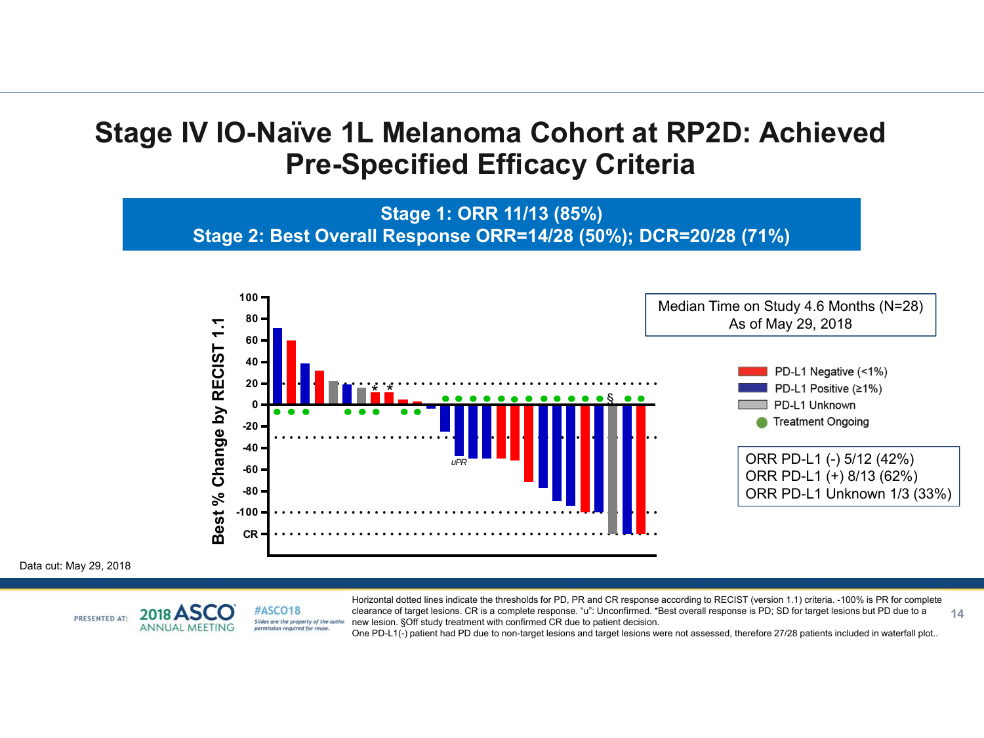### **Stage IV IO-Naïve 1L Melanoma Cohort at RP2D: Achieved Pre-Specified Efficacy Criteria**

**Stage 1: ORR 11/13 (85%) Stage 2: Best Overall Response ORR=14/28 (50%); DCR=20/28 (71%)**



Data cut: May 29, 2018

#ASCO18 2018 A PRESENTED AT: Slides are the property of the author **ANNUAL MEETING** permission required for reuse

**14**Horizontal dotted lines indicate the thresholds for PD, PR and CR response according to RECIST (version 1.1) criteria. -100% is PR for complete clearance of target lesions. CR is a complete response. "u": Unconfirmed. \*Best overall response is PD; SD for target lesions but PD due to a new lesion. §Off study treatment with confirmed CR due to patient decision.

One PD-L1(-) patient had PD due to non-target lesions and target lesions were not assessed, therefore 27/28 patients included in waterfall plot..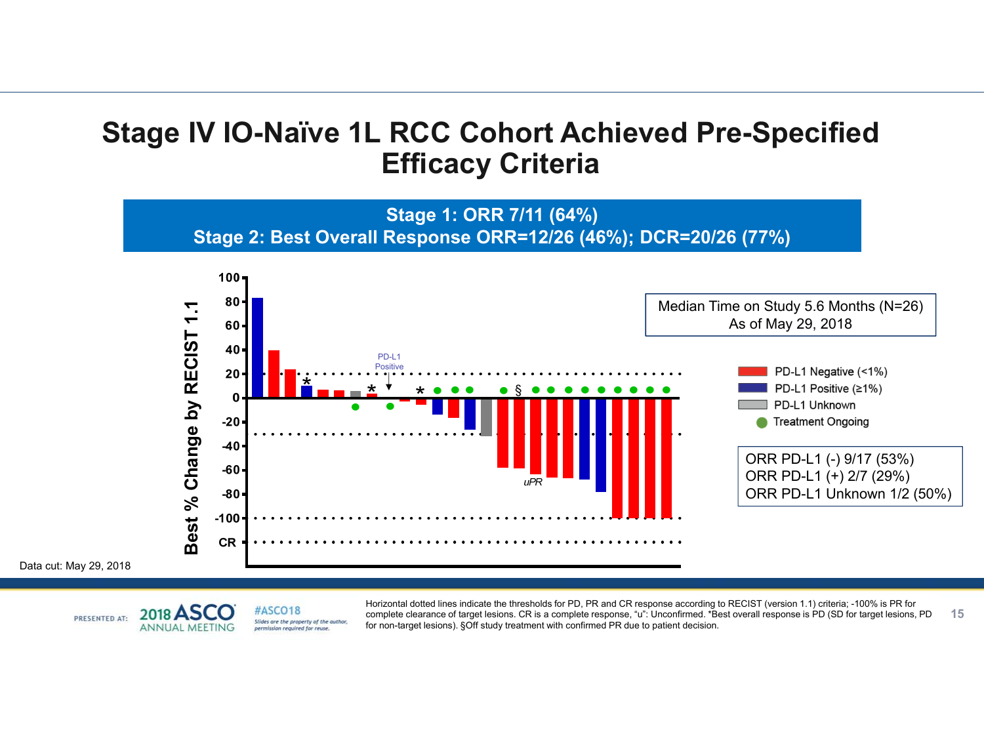### **Stage IV IO-Naïve 1L RCC Cohort Achieved Pre-Specified Efficacy Criteria**

**Stage 1: ORR 7/11 (64%) Stage 2: Best Overall Response ORR=12/26 (46%); DCR=20/26 (77%)**



Data cut: May 29, 2018



**15**Horizontal dotted lines indicate the thresholds for PD, PR and CR response according to RECIST (version 1.1) criteria; -100% is PR for complete clearance of target lesions. CR is a complete response, "u": Unconfirmed. \*Best overall response is PD (SD for target lesions, PD for non-target lesions). §Off study treatment with confirmed PR due to patient decision.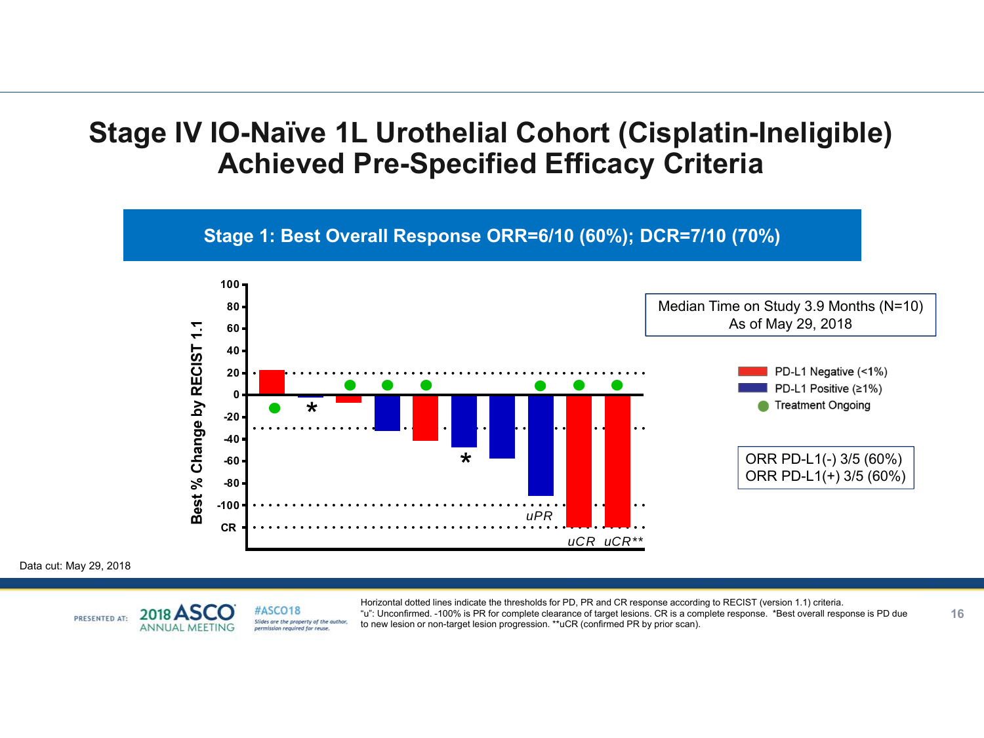### **Stage IV IO-Naïve 1L Urothelial Cohort (Cisplatin-Ineligible) Achieved Pre-Specified Efficacy Criteria**



Data cut: May 29, 2018

#ASCO18 2018 PRESENTED AT: **ANNUAL MEETING** 

Slides are the property of the author. permission required for reuse

Horizontal dotted lines indicate the thresholds for PD, PR and CR response according to RECIST (version 1.1) criteria. "u": Unconfirmed. -100% is PR for complete clearance of target lesions. CR is a complete response. \*Best overall response is PD due to new lesion or non-target lesion progression. \*\*uCR (confirmed PR by prior scan).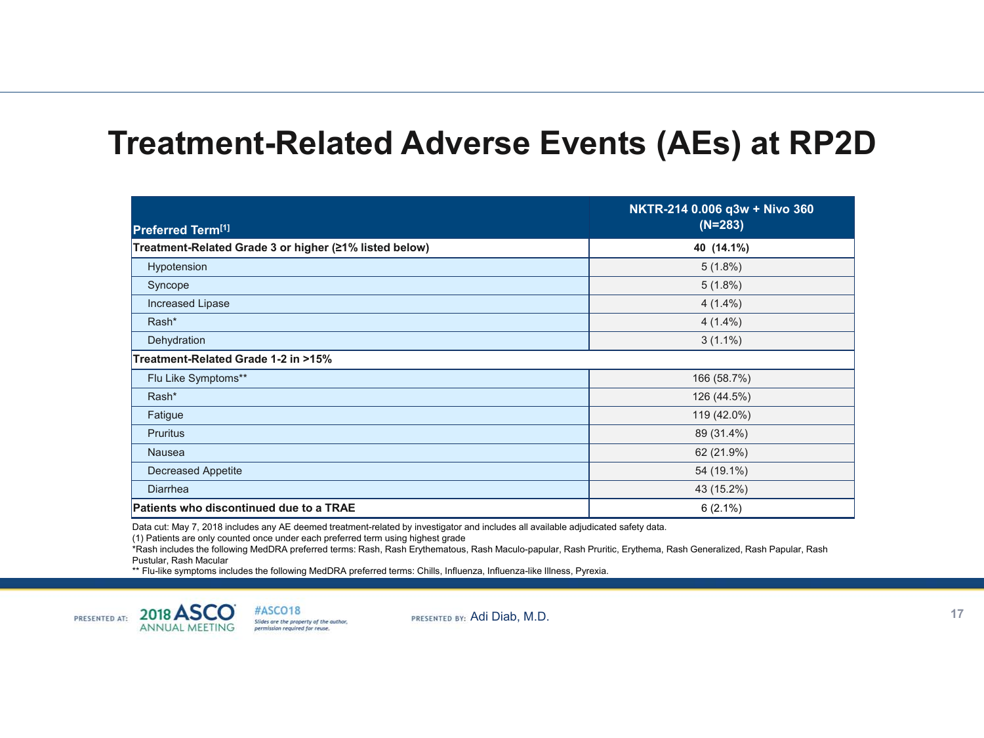# **Treatment-Related Adverse Events (AEs) at RP2D**

|                                                        | NKTR-214 0.006 q3w + Nivo 360 |
|--------------------------------------------------------|-------------------------------|
| Preferred Term <sup>[1]</sup>                          | $(N=283)$                     |
| Treatment-Related Grade 3 or higher (≥1% listed below) | 40 (14.1%)                    |
| Hypotension                                            | $5(1.8\%)$                    |
| Syncope                                                | $5(1.8\%)$                    |
| Increased Lipase                                       | $4(1.4\%)$                    |
| Rash*                                                  | $4(1.4\%)$                    |
| Dehydration                                            | $3(1.1\%)$                    |
| Treatment-Related Grade 1-2 in >15%                    |                               |
| Flu Like Symptoms**                                    | 166 (58.7%)                   |
| Rash*                                                  | 126 (44.5%)                   |
| Fatigue                                                | 119 (42.0%)                   |
| <b>Pruritus</b>                                        | 89 (31.4%)                    |
| <b>Nausea</b>                                          | 62 (21.9%)                    |
| <b>Decreased Appetite</b>                              | 54 (19.1%)                    |
| <b>Diarrhea</b>                                        | 43 (15.2%)                    |
| <b>Patients who discontinued due to a TRAE</b>         | $6(2.1\%)$                    |

Data cut: May 7, 2018 includes any AE deemed treatment-related by investigator and includes all available adjudicated safety data.

(1) Patients are only counted once under each preferred term using highest grade

\*Rash includes the following MedDRA preferred terms: Rash, Rash Erythematous, Rash Maculo-papular, Rash Pruritic, Erythema, Rash Generalized, Rash Papular, Rash Pustular, Rash Macular

\*\* Flu-like symptoms includes the following MedDRA preferred terms: Chills, Influenza, Influenza-like Illness, Pyrexia.

 $2018<sup>2</sup>$ PRESENTED AT:

#ASCO18 Slides are the property of the author,<br>permission required for reuse. **ANNUAL MEETING**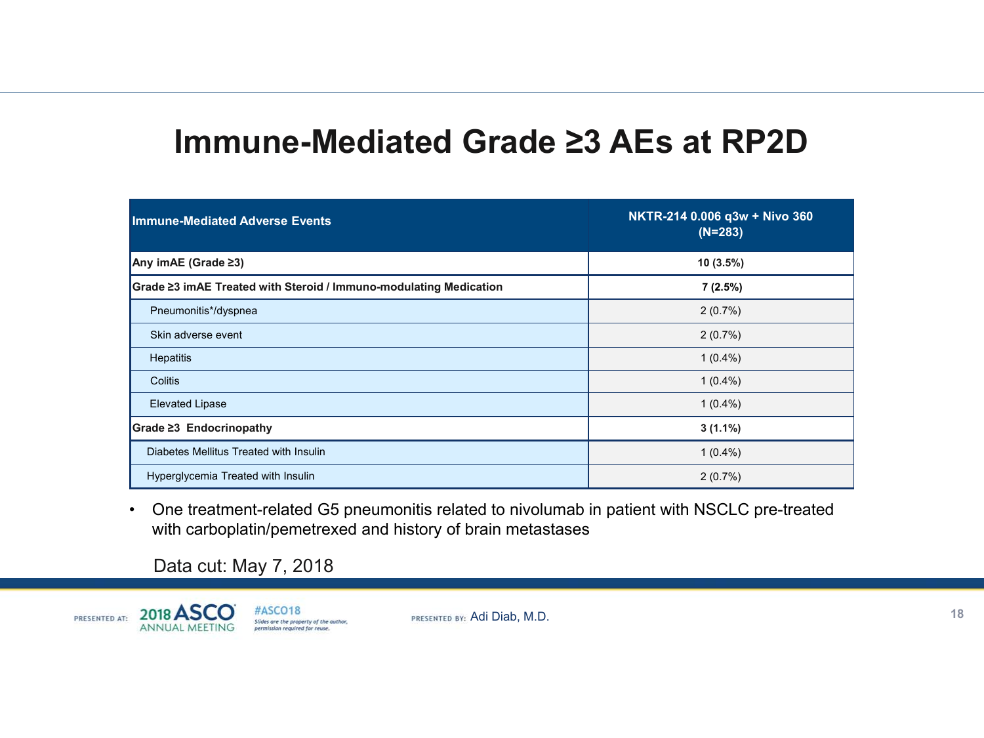# **Immune-Mediated Grade ≥3 AEs at RP2D**

| <b>Immune-Mediated Adverse Events</b>                             | NKTR-214 0.006 q3w + Nivo 360<br>$(N=283)$ |
|-------------------------------------------------------------------|--------------------------------------------|
| Any imAE (Grade $\geq 3$ )                                        | $10(3.5\%)$                                |
| Grade ≥3 imAE Treated with Steroid / Immuno-modulating Medication | 7(2.5%)                                    |
| Pneumonitis*/dyspnea                                              | 2(0.7%)                                    |
| Skin adverse event                                                | 2(0.7%)                                    |
| Hepatitis                                                         | $1(0.4\%)$                                 |
| Colitis                                                           | $1(0.4\%)$                                 |
| <b>Elevated Lipase</b>                                            | $1(0.4\%)$                                 |
| $Grade \geq 3$ Endocrinopathy                                     | $3(1.1\%)$                                 |
| Diabetes Mellitus Treated with Insulin                            | $1(0.4\%)$                                 |
| Hyperglycemia Treated with Insulin                                | 2(0.7%)                                    |

• One treatment-related G5 pneumonitis related to nivolumab in patient with NSCLC pre-treated with carboplatin/pemetrexed and history of brain metastases

Data cut: May 7, 2018

2018 ASC #ASCO18 PRESENTED AT: Slides are the property of the author,<br>permission required for reuse. **ANNUAL MEETING**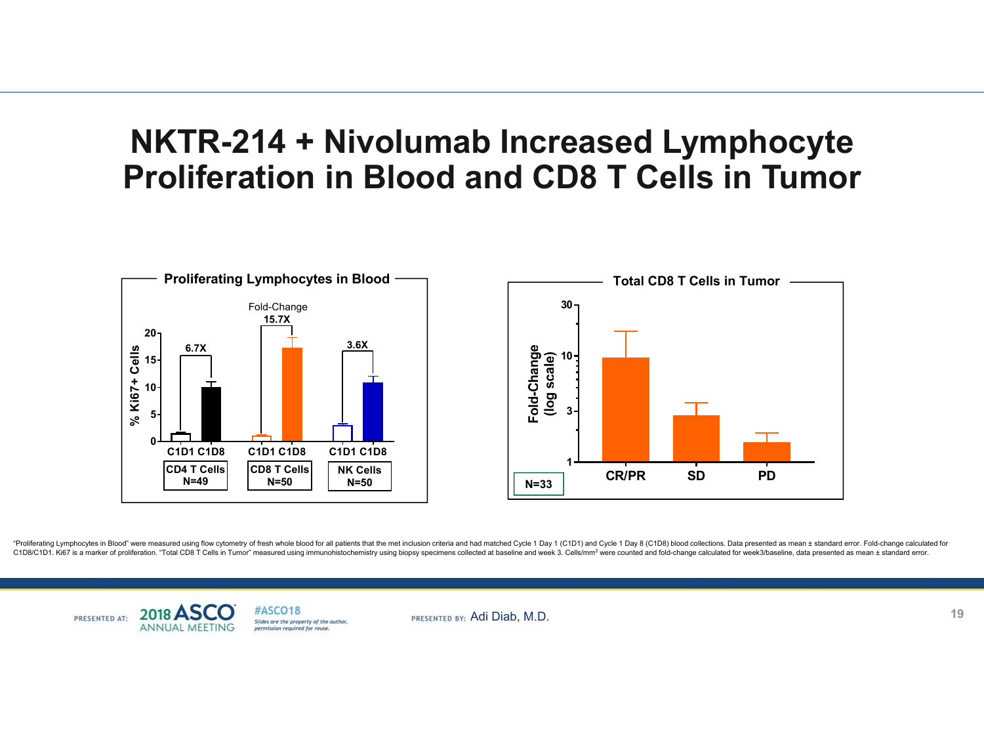# **NKTR-214 + Nivolumab Increased Lymphocyte Proliferation in Blood and CD8 T Cells in Tumor**



"Proliferating Lymphocytes in Blood" were measured using flow cytometry of fresh whole blood for all patients that the met inclusion criteria and had matched Cycle 1 Day 1 (C1D1) and Cycle 1 Day 8 (C1D8) blood collections. C1D8/C1D1, Ki67 is a marker of proliferation. "Total CD8 T Cells in Tumor" measured using immunohistochemistry using biopsy specimens collected at baseline and week 3. Cells/mm<sup>2</sup> were counted and fold-change calculated fo

#ASCO18 2018 A PRESENTED AT: Slides are the property of the author, **ANNUAL MEETIN** permission required for reuse.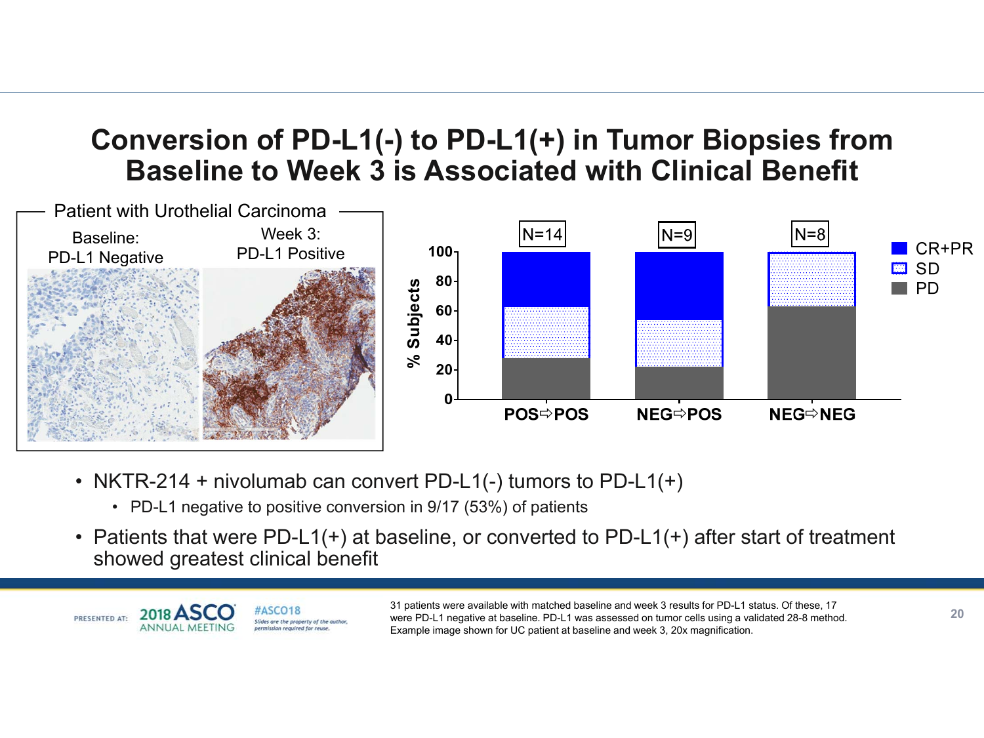# **Conversion of PD-L1(-) to PD-L1(+) in Tumor Biopsies from Baseline to Week 3 is Associated with Clinical Benefit**



- NKTR-214 + nivolumab can convert PD-L1(-) tumors to PD-L1(+)
	- PD-L1 negative to positive conversion in 9/17 (53%) of patient s
- Patients that were PD-L1(+) at baseline, or converted to PD-L1(+) after start of treatment showed greatest clinical benefit



31 patients were available with matched baseline and week 3 results for PD-L1 status. Of these, 17<br>were PD-L1 negative at baseline. PD-L1 was assessed on tumor cells using a validated 28-8 method. Example image shown for UC patient at baseline and week 3, 20x magnification.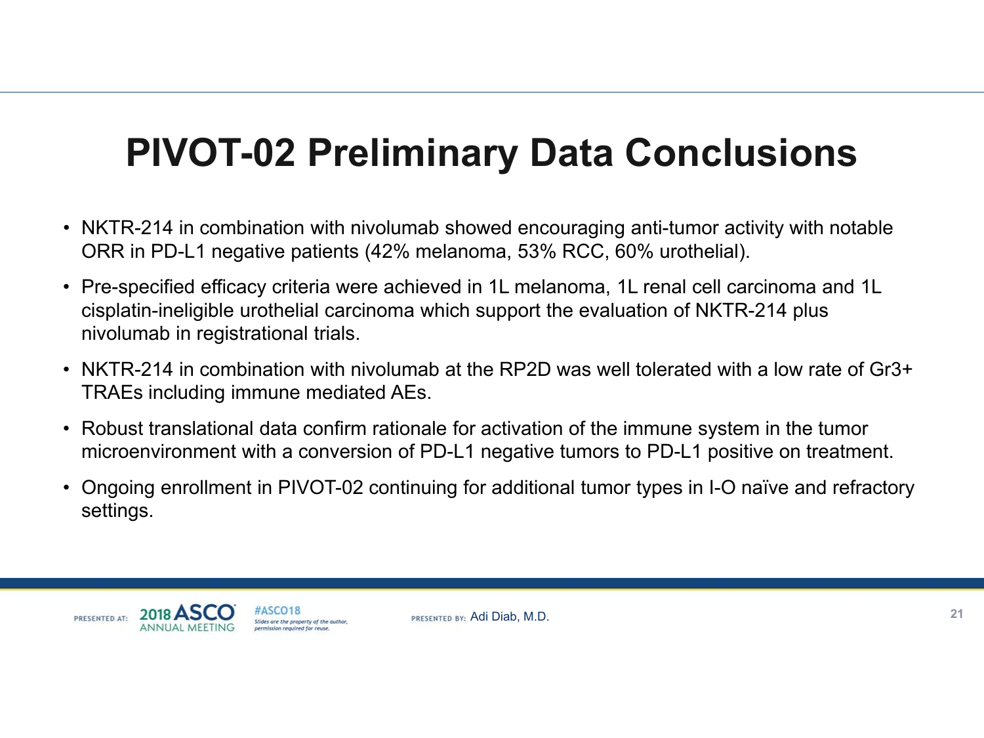# **PIVOT-02 Preliminary Data Conclusions**

- NKTR-214 in combination with nivolumab showed encouraging anti-tumor activity with notable ORR in PD-L1 negative patients (42% melanoma, 53% RCC, 60% urothelial).
- Pre-specified efficacy criteria were achieved in 1L melanoma, 1L renal cell carcinoma and 1L cisplatin-ineligible urothelial carcinoma which support the evaluation of NKTR-214 plus nivolumab in registrational trials.
- NKTR-214 in combination with nivolumab at the RP2D was well tolerated with a low rate of Gr3+ TRAEs including immune mediated AEs.
- Robust translational data confirm rationale for activation of the immune system in the tumor microenvironment with a conversion of PD-L1 negative tumors to PD-L1 positive on treatment.
- Ongoing enrollment in PIVOT-02 continuing for additional tumor types in I-O naïve and refractory settings.